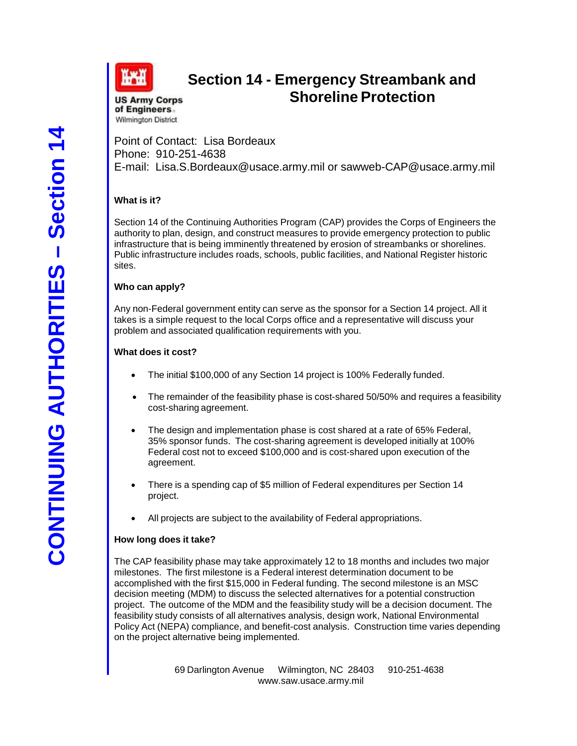

# **Section 14 - Emergency Streambank and Shoreline Protection**

**US Army Corps** of Engineers **Wilmington District** 

Point of Contact: Lisa Bordeaux Phone: 910-251-4638 E-mail: [Lisa.S.Bordeaux@usace.army.mil](mailto:Lisa.S.Bordeaux@usace.army.mil) or sawweb-CAP@usace.army.mil

# **What is it?**

Section 14 of the Continuing Authorities Program (CAP) provides the Corps of Engineers the authority to plan, design, and construct measures to provide emergency protection to public infrastructure that is being imminently threatened by erosion of streambanks or shorelines. Public infrastructure includes roads, schools, public facilities, and National Register historic sites.

#### **Who can apply?**

Any non-Federal government entity can serve as the sponsor for a Section 14 project. All it takes is a simple request to the local Corps office and a representative will discuss your problem and associated qualification requirements with you.

#### **What does it cost?**

- The initial \$100,000 of any Section 14 project is 100% Federally funded.
- The remainder of the feasibility phase is cost-shared 50/50% and requires a feasibility cost-sharing agreement.
- The design and implementation phase is cost shared at a rate of 65% Federal, 35% sponsor funds. The cost-sharing agreement is developed initially at 100% Federal cost not to exceed \$100,000 and is cost-shared upon execution of the agreement.
- There is a spending cap of \$5 million of Federal expenditures per Section 14 project.
- All projects are subject to the availability of Federal appropriations.

# **How long does it take?**

The CAP feasibility phase may take approximately 12 to 18 months and includes two major milestones. The first milestone is a Federal interest determination document to be accomplished with the first \$15,000 in Federal funding. The second milestone is an MSC decision meeting (MDM) to discuss the selected alternatives for a potential construction project. The outcome of the MDM and the feasibility study will be a decision document. The feasibility study consists of all alternatives analysis, design work, National Environmental Policy Act (NEPA) compliance, and benefit-cost analysis. Construction time varies depending on the project alternative being implemented.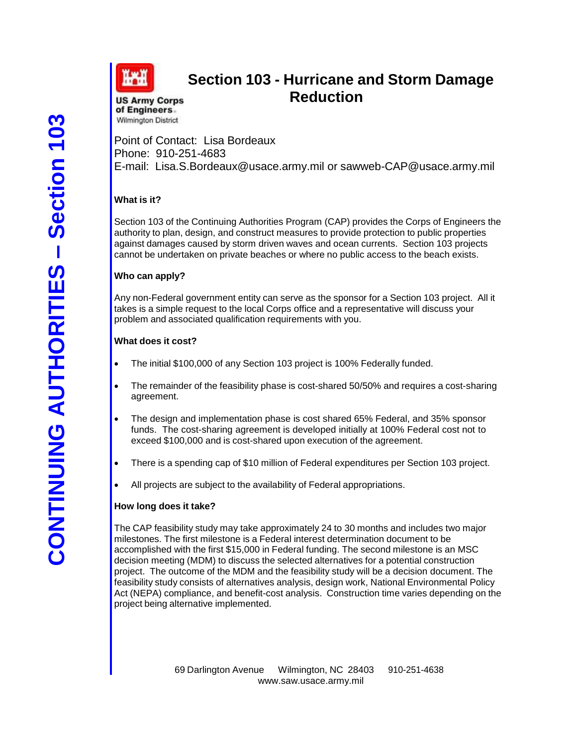

# **Section 103 - Hurricane and Storm Damage Reduction**

**US Army Corps** of Engineers. **Wilmington District** 

Point of Contact: Lisa Bordeaux Phone: 910-251-4683 E-mail: [Lisa.S.Bordeaux@usace.army.mil](mailto:Lisa.S.Bordeaux@usace.army.mil) or sawweb-CAP@usace.army.mil

# **What is it?**

Section 103 of the Continuing Authorities Program (CAP) provides the Corps of Engineers the authority to plan, design, and construct measures to provide protection to public properties against damages caused by storm driven waves and ocean currents. Section 103 projects cannot be undertaken on private beaches or where no public access to the beach exists.

# **Who can apply?**

Any non-Federal government entity can serve as the sponsor for a Section 103 project. All it takes is a simple request to the local Corps office and a representative will discuss your problem and associated qualification requirements with you.

#### **What does it cost?**

- The initial \$100,000 of any Section 103 project is 100% Federally funded.
- The remainder of the feasibility phase is cost-shared 50/50% and requires a cost-sharing agreement.
- The design and implementation phase is cost shared 65% Federal, and 35% sponsor funds. The cost-sharing agreement is developed initially at 100% Federal cost not to exceed \$100,000 and is cost-shared upon execution of the agreement.
- There is a spending cap of \$10 million of Federal expenditures per Section 103 project.
- All projects are subject to the availability of Federal appropriations.

#### **How long does it take?**

The CAP feasibility study may take approximately 24 to 30 months and includes two major milestones. The first milestone is a Federal interest determination document to be accomplished with the first \$15,000 in Federal funding. The second milestone is an MSC decision meeting (MDM) to discuss the selected alternatives for a potential construction project. The outcome of the MDM and the feasibility study will be a decision document. The feasibility study consists of alternatives analysis, design work, National Environmental Policy Act (NEPA) compliance, and benefit-cost analysis. Construction time varies depending on the project being alternative implemented.

69 Darlington Avenue Wilmington, NC 28403 910-251-463[8](http://www.saw.usace.army.mil/) [www.saw.usace.army.mil](http://www.saw.usace.army.mil/)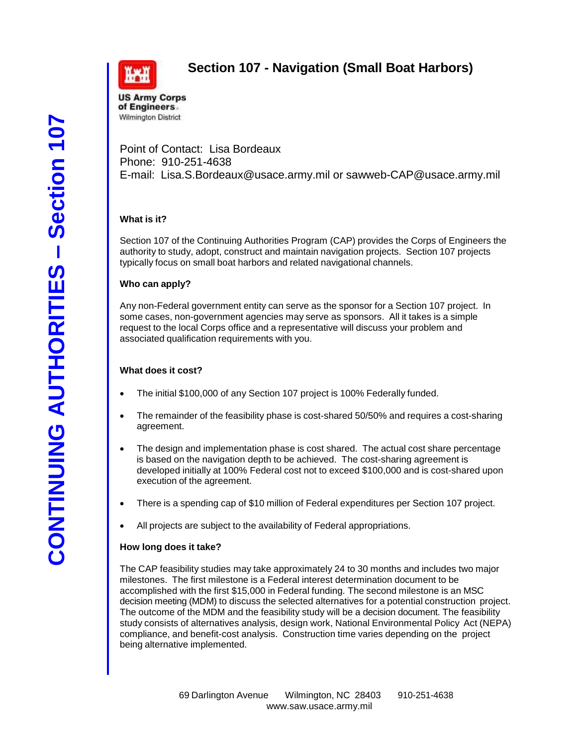



# **Section 107 - Navigation (Small Boat Harbors)**

**US Army Corps** of Engineers. **Wilmington District** 

Point of Contact: Lisa Bordeaux Phone: 910-251-4638 E-mail: [Lisa.S.Bordeaux@usace.army.mil](mailto:Lisa.S.Bordeaux@usace.army.mil) or sawweb-CAP@usace.army.mil

#### **What is it?**

Section 107 of the Continuing Authorities Program (CAP) provides the Corps of Engineers the authority to study, adopt, construct and maintain navigation projects. Section 107 projects typically focus on small boat harbors and related navigational channels.

#### **Who can apply?**

Any non-Federal government entity can serve as the sponsor for a Section 107 project. In some cases, non-government agencies may serve as sponsors. All it takes is a simple request to the local Corps office and a representative will discuss your problem and associated qualification requirements with you.

#### **What does it cost?**

- The initial \$100,000 of any Section 107 project is 100% Federally funded.
- The remainder of the feasibility phase is cost-shared 50/50% and requires a cost-sharing agreement.
- The design and implementation phase is cost shared. The actual cost share percentage is based on the navigation depth to be achieved. The cost-sharing agreement is developed initially at 100% Federal cost not to exceed \$100,000 and is cost-shared upon execution of the agreement.
- There is a spending cap of \$10 million of Federal expenditures per Section 107 project.
- All projects are subject to the availability of Federal appropriations.

#### **How long does it take?**

The CAP feasibility studies may take approximately 24 to 30 months and includes two major milestones. The first milestone is a Federal interest determination document to be accomplished with the first \$15,000 in Federal funding. The second milestone is an MSC decision meeting (MDM) to discuss the selected alternatives for a potential construction project. The outcome of the MDM and the feasibility study will be a decision document. The feasibility study consists of alternatives analysis, design work, National Environmental Policy Act (NEPA) compliance, and benefit-cost analysis. Construction time varies depending on the project being alternative implemented.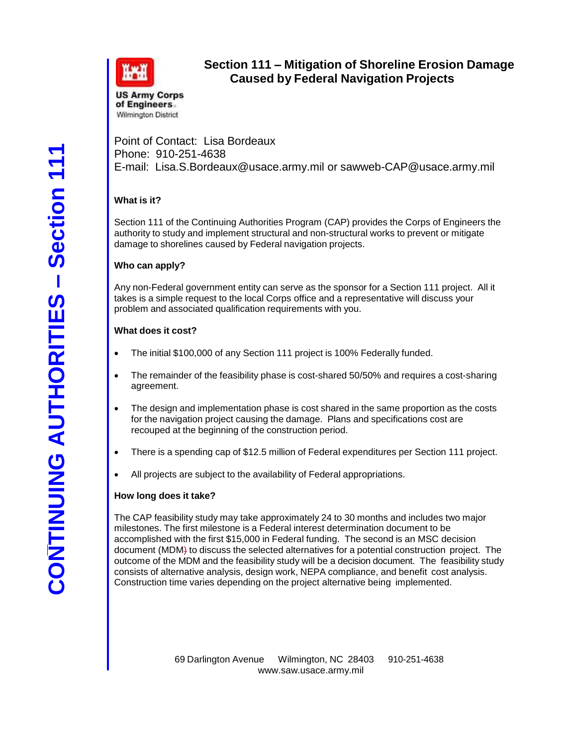

# **Section 111 – Mitigation of Shoreline Erosion Damage Caused by Federal Navigation Projects**

Point of Contact: Lisa Bordeaux Phone: 910-251-4638 E-mail: [Lisa.S.Bordeaux@usace.army.mil](mailto:Lisa.S.Bordeaux@usace.army.mil) or sawweb-CAP@usace.army.mil

# **What is it?**

Section 111 of the Continuing Authorities Program (CAP) provides the Corps of Engineers the authority to study and implement structural and non-structural works to prevent or mitigate damage to shorelines caused by Federal navigation projects.

#### **Who can apply?**

Any non-Federal government entity can serve as the sponsor for a Section 111 project. All it takes is a simple request to the local Corps office and a representative will discuss your problem and associated qualification requirements with you.

#### **What does it cost?**

- The initial \$100,000 of any Section 111 project is 100% Federally funded.
- The remainder of the feasibility phase is cost-shared 50/50% and requires a cost-sharing agreement.
- The design and implementation phase is cost shared in the same proportion as the costs for the navigation project causing the damage. Plans and specifications cost are recouped at the beginning of the construction period.
- There is a spending cap of \$12.5 million of Federal expenditures per Section 111 project.
- All projects are subject to the availability of Federal appropriations.

#### **How long does it take?**

The CAP feasibility study may take approximately 24 to 30 months and includes two major milestones. The first milestone is a Federal interest determination document to be accomplished with the first \$15,000 in Federal funding. The second is an MSC decision document (MDM) to discuss the selected alternatives for a potential construction project. The outcome of the MDM and the feasibility study will be a decision document. The feasibility study consists of alternative analysis, design work, NEPA compliance, and benefit cost analysis. Construction time varies depending on the project alternative being implemented.

> 69 Darlington Avenue Wilmington, NC 28403 910-251-463[8](http://www.saw.usace.army.mil/) [www.saw.usace.army.mil](http://www.saw.usace.army.mil/)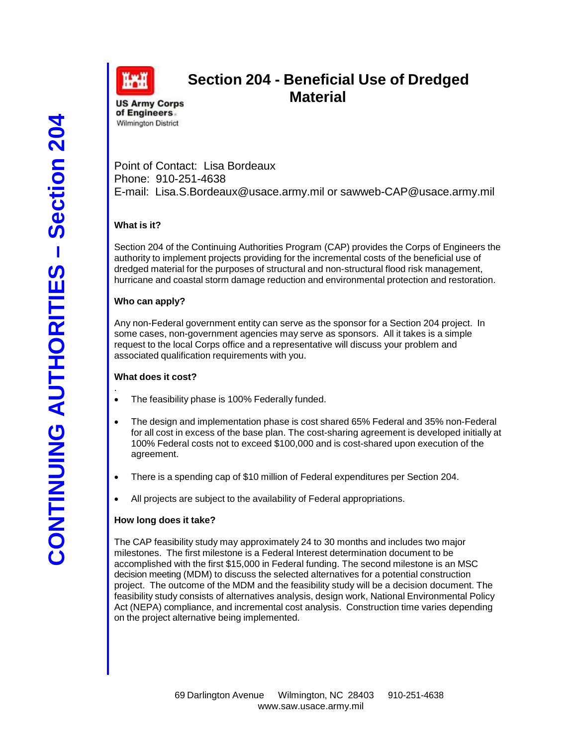

# **Section 204 - Beneficial Use of Dredged Material**

**US Army Corps** of Engineers. **Wilmington District** 

Point of Contact: Lisa Bordeaux Phone: 910-251-4638 E-mail: [Lisa.S.Bordeaux@usace.army.mil](mailto:Lisa.S.Bordeaux@usace.army.mil) or sawweb-CAP@usace.army.mil

# **What is it?**

Section 204 of the Continuing Authorities Program (CAP) provides the Corps of Engineers the authority to implement projects providing for the incremental costs of the beneficial use of dredged material for the purposes of structural and non-structural flood risk management, hurricane and coastal storm damage reduction and environmental protection and restoration.

# **Who can apply?**

Any non-Federal government entity can serve as the sponsor for a Section 204 project. In some cases, non-government agencies may serve as sponsors. All it takes is a simple request to the local Corps office and a representative will discuss your problem and associated qualification requirements with you.

# **What does it cost?**

- . The feasibility phase is 100% Federally funded.
- The design and implementation phase is cost shared 65% Federal and 35% non-Federal for all cost in excess of the base plan. The cost-sharing agreement is developed initially at 100% Federal costs not to exceed \$100,000 and is cost-shared upon execution of the agreement.
- There is a spending cap of \$10 million of Federal expenditures per Section 204.
- All projects are subject to the availability of Federal appropriations.

# **How long does it take?**

The CAP feasibility study may approximately 24 to 30 months and includes two major milestones. The first milestone is a Federal Interest determination document to be accomplished with the first \$15,000 in Federal funding. The second milestone is an MSC decision meeting (MDM) to discuss the selected alternatives for a potential construction project. The outcome of the MDM and the feasibility study will be a decision document. The feasibility study consists of alternatives analysis, design work, National Environmental Policy Act (NEPA) compliance, and incremental cost analysis. Construction time varies depending on the project alternative being implemented.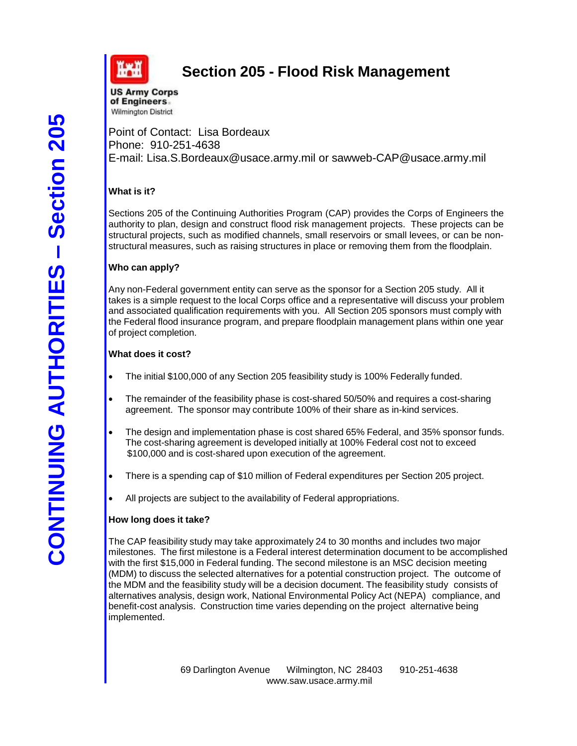

# **Section 205 - Flood Risk Management**

**US Army Corps** of Engineers. Wilmington District

Point of Contact: Lisa Bordeaux Phone: 910-251-4638 E-mail: [Lisa.S.Bordeaux@usace.army.mil](mailto:Lisa.S.Bordeaux@usace.army.mil) or sawweb-CAP@usace.army.mil

# **What is it?**

Sections 205 of the Continuing Authorities Program (CAP) provides the Corps of Engineers the authority to plan, design and construct flood risk management projects. These projects can be structural projects, such as modified channels, small reservoirs or small levees, or can be nonstructural measures, such as raising structures in place or removing them from the floodplain.

# **Who can apply?**

Any non-Federal government entity can serve as the sponsor for a Section 205 study. All it takes is a simple request to the local Corps office and a representative will discuss your problem and associated qualification requirements with you. All Section 205 sponsors must comply with the Federal flood insurance program, and prepare floodplain management plans within one year of project completion.

# **What does it cost?**

- The initial \$100,000 of any Section 205 feasibility study is 100% Federally funded.
- The remainder of the feasibility phase is cost-shared 50/50% and requires a cost-sharing agreement. The sponsor may contribute 100% of their share as in-kind services.
- The design and implementation phase is cost shared 65% Federal, and 35% sponsor funds. The cost-sharing agreement is developed initially at 100% Federal cost not to exceed \$100,000 and is cost-shared upon execution of the agreement.
- There is a spending cap of \$10 million of Federal expenditures per Section 205 project.
- All projects are subject to the availability of Federal appropriations.

# **How long does it take?**

The CAP feasibility study may take approximately 24 to 30 months and includes two major milestones. The first milestone is a Federal interest determination document to be accomplished with the first \$15,000 in Federal funding. The second milestone is an MSC decision meeting (MDM) to discuss the selected alternatives for a potential construction project. The outcome of the MDM and the feasibility study will be a decision document. The feasibility study consists of alternatives analysis, design work, National Environmental Policy Act (NEPA) compliance, and benefit-cost analysis. Construction time varies depending on the project alternative being implemented.